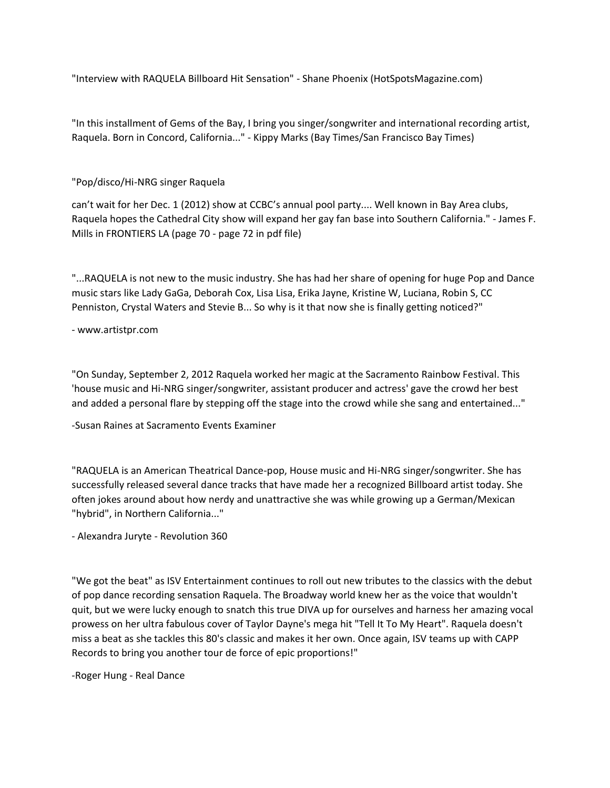"Interview with RAQUELA Billboard Hit Sensation" - Shane Phoenix (HotSpotsMagazine.com)

"In this installment of Gems of the Bay, I bring you singer/songwriter and international recording artist, Raquela. Born in Concord, California..." - Kippy Marks (Bay Times/San Francisco Bay Times)

"Pop/disco/Hi-NRG singer Raquela

can't wait for her Dec. 1 (2012) show at CCBC's annual pool party.... Well known in Bay Area clubs, Raquela hopes the Cathedral City show will expand her gay fan base into Southern California." - James F. Mills in FRONTIERS LA (page 70 - page 72 in pdf file)

"...RAQUELA is not new to the music industry. She has had her share of opening for huge Pop and Dance music stars like Lady GaGa, Deborah Cox, Lisa Lisa, Erika Jayne, Kristine W, Luciana, Robin S, CC Penniston, Crystal Waters and Stevie B... So why is it that now she is finally getting noticed?"

- www.artistpr.com

"On Sunday, September 2, 2012 Raquela worked her magic at the Sacramento Rainbow Festival. This 'house music and Hi-NRG singer/songwriter, assistant producer and actress' gave the crowd her best and added a personal flare by stepping off the stage into the crowd while she sang and entertained..."

-Susan Raines at Sacramento Events Examiner

"RAQUELA is an American Theatrical Dance-pop, House music and Hi-NRG singer/songwriter. She has successfully released several dance tracks that have made her a recognized Billboard artist today. She often jokes around about how nerdy and unattractive she was while growing up a German/Mexican "hybrid", in Northern California..."

- Alexandra Juryte - Revolution 360

"We got the beat" as ISV Entertainment continues to roll out new tributes to the classics with the debut of pop dance recording sensation Raquela. The Broadway world knew her as the voice that wouldn't quit, but we were lucky enough to snatch this true DIVA up for ourselves and harness her amazing vocal prowess on her ultra fabulous cover of Taylor Dayne's mega hit "Tell It To My Heart". Raquela doesn't miss a beat as she tackles this 80's classic and makes it her own. Once again, ISV teams up with CAPP Records to bring you another tour de force of epic proportions!"

-Roger Hung - Real Dance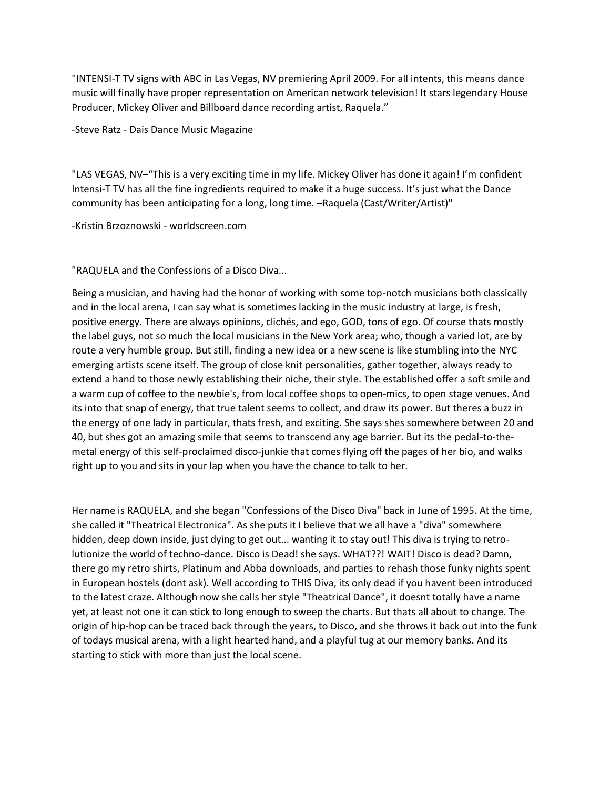"INTENSI-T TV signs with ABC in Las Vegas, NV premiering April 2009. For all intents, this means dance music will finally have proper representation on American network television! It stars legendary House Producer, Mickey Oliver and Billboard dance recording artist, Raquela."

-Steve Ratz - Dais Dance Music Magazine

"LAS VEGAS, NV–"This is a very exciting time in my life. Mickey Oliver has done it again! I'm confident Intensi-T TV has all the fine ingredients required to make it a huge success. It's just what the Dance community has been anticipating for a long, long time. -Raquela (Cast/Writer/Artist)"

-Kristin Brzoznowski - worldscreen.com

"RAQUELA and the Confessions of a Disco Diva...

Being a musician, and having had the honor of working with some top-notch musicians both classically and in the local arena, I can say what is sometimes lacking in the music industry at large, is fresh, positive energy. There are always opinions, clichés, and ego, GOD, tons of ego. Of course thats mostly the label guys, not so much the local musicians in the New York area; who, though a varied lot, are by route a very humble group. But still, finding a new idea or a new scene is like stumbling into the NYC emerging artists scene itself. The group of close knit personalities, gather together, always ready to extend a hand to those newly establishing their niche, their style. The established offer a soft smile and a warm cup of coffee to the newbie's, from local coffee shops to open-mics, to open stage venues. And its into that snap of energy, that true talent seems to collect, and draw its power. But theres a buzz in the energy of one lady in particular, thats fresh, and exciting. She says shes somewhere between 20 and 40, but shes got an amazing smile that seems to transcend any age barrier. But its the pedal-to-themetal energy of this self-proclaimed disco-junkie that comes flying off the pages of her bio, and walks right up to you and sits in your lap when you have the chance to talk to her.

Her name is RAQUELA, and she began "Confessions of the Disco Diva" back in June of 1995. At the time, she called it "Theatrical Electronica". As she puts it I believe that we all have a "diva" somewhere hidden, deep down inside, just dying to get out... wanting it to stay out! This diva is trying to retrolutionize the world of techno-dance. Disco is Dead! she says. WHAT??! WAIT! Disco is dead? Damn, there go my retro shirts, Platinum and Abba downloads, and parties to rehash those funky nights spent in European hostels (dont ask). Well according to THIS Diva, its only dead if you havent been introduced to the latest craze. Although now she calls her style "Theatrical Dance", it doesnt totally have a name yet, at least not one it can stick to long enough to sweep the charts. But thats all about to change. The origin of hip-hop can be traced back through the years, to Disco, and she throws it back out into the funk of todays musical arena, with a light hearted hand, and a playful tug at our memory banks. And its starting to stick with more than just the local scene.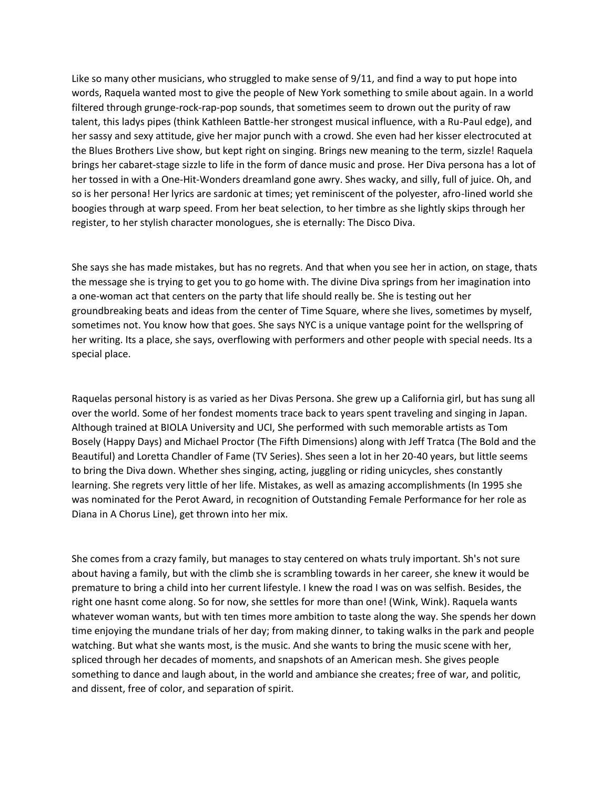Like so many other musicians, who struggled to make sense of 9/11, and find a way to put hope into words, Raquela wanted most to give the people of New York something to smile about again. In a world filtered through grunge-rock-rap-pop sounds, that sometimes seem to drown out the purity of raw talent, this ladys pipes (think Kathleen Battle-her strongest musical influence, with a Ru-Paul edge), and her sassy and sexy attitude, give her major punch with a crowd. She even had her kisser electrocuted at the Blues Brothers Live show, but kept right on singing. Brings new meaning to the term, sizzle! Raquela brings her cabaret-stage sizzle to life in the form of dance music and prose. Her Diva persona has a lot of her tossed in with a One-Hit-Wonders dreamland gone awry. Shes wacky, and silly, full of juice. Oh, and so is her persona! Her lyrics are sardonic at times; yet reminiscent of the polyester, afro-lined world she boogies through at warp speed. From her beat selection, to her timbre as she lightly skips through her register, to her stylish character monologues, she is eternally: The Disco Diva.

She says she has made mistakes, but has no regrets. And that when you see her in action, on stage, thats the message she is trying to get you to go home with. The divine Diva springs from her imagination into a one-woman act that centers on the party that life should really be. She is testing out her groundbreaking beats and ideas from the center of Time Square, where she lives, sometimes by myself, sometimes not. You know how that goes. She says NYC is a unique vantage point for the wellspring of her writing. Its a place, she says, overflowing with performers and other people with special needs. Its a special place.

Raquelas personal history is as varied as her Divas Persona. She grew up a California girl, but has sung all over the world. Some of her fondest moments trace back to years spent traveling and singing in Japan. Although trained at BIOLA University and UCI, She performed with such memorable artists as Tom Bosely (Happy Days) and Michael Proctor (The Fifth Dimensions) along with Jeff Tratca (The Bold and the Beautiful) and Loretta Chandler of Fame (TV Series). Shes seen a lot in her 20-40 years, but little seems to bring the Diva down. Whether shes singing, acting, juggling or riding unicycles, shes constantly learning. She regrets very little of her life. Mistakes, as well as amazing accomplishments (In 1995 she was nominated for the Perot Award, in recognition of Outstanding Female Performance for her role as Diana in A Chorus Line), get thrown into her mix.

She comes from a crazy family, but manages to stay centered on whats truly important. Sh's not sure about having a family, but with the climb she is scrambling towards in her career, she knew it would be premature to bring a child into her current lifestyle. I knew the road I was on was selfish. Besides, the right one hasnt come along. So for now, she settles for more than one! (Wink, Wink). Raquela wants whatever woman wants, but with ten times more ambition to taste along the way. She spends her down time enjoying the mundane trials of her day; from making dinner, to taking walks in the park and people watching. But what she wants most, is the music. And she wants to bring the music scene with her, spliced through her decades of moments, and snapshots of an American mesh. She gives people something to dance and laugh about, in the world and ambiance she creates; free of war, and politic, and dissent, free of color, and separation of spirit.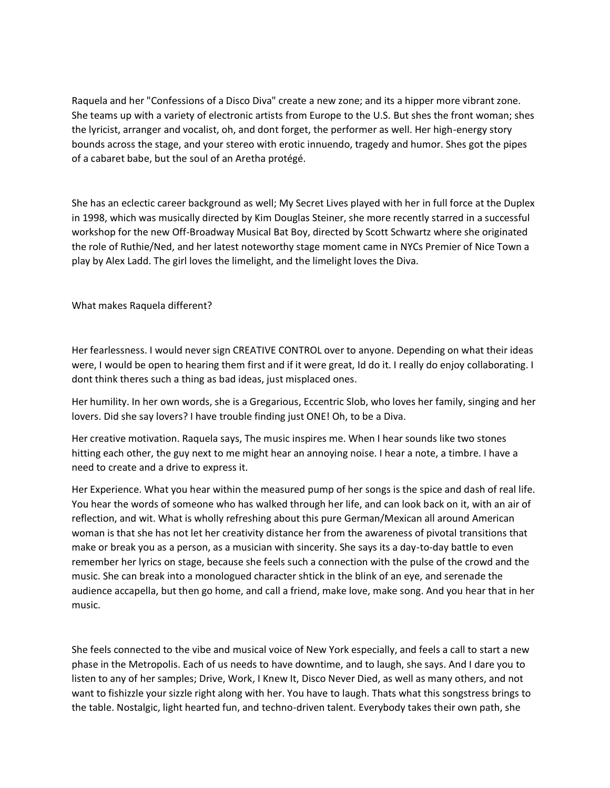Raquela and her "Confessions of a Disco Diva" create a new zone; and its a hipper more vibrant zone. She teams up with a variety of electronic artists from Europe to the U.S. But shes the front woman; shes the lyricist, arranger and vocalist, oh, and dont forget, the performer as well. Her high-energy story bounds across the stage, and your stereo with erotic innuendo, tragedy and humor. Shes got the pipes of a cabaret babe, but the soul of an Aretha protégé.

She has an eclectic career background as well; My Secret Lives played with her in full force at the Duplex in 1998, which was musically directed by Kim Douglas Steiner, she more recently starred in a successful workshop for the new Off-Broadway Musical Bat Boy, directed by Scott Schwartz where she originated the role of Ruthie/Ned, and her latest noteworthy stage moment came in NYCs Premier of Nice Town a play by Alex Ladd. The girl loves the limelight, and the limelight loves the Diva.

What makes Raquela different?

Her fearlessness. I would never sign CREATIVE CONTROL over to anyone. Depending on what their ideas were, I would be open to hearing them first and if it were great, Id do it. I really do enjoy collaborating. I dont think theres such a thing as bad ideas, just misplaced ones.

Her humility. In her own words, she is a Gregarious, Eccentric Slob, who loves her family, singing and her lovers. Did she say lovers? I have trouble finding just ONE! Oh, to be a Diva.

Her creative motivation. Raquela says, The music inspires me. When I hear sounds like two stones hitting each other, the guy next to me might hear an annoying noise. I hear a note, a timbre. I have a need to create and a drive to express it.

Her Experience. What you hear within the measured pump of her songs is the spice and dash of real life. You hear the words of someone who has walked through her life, and can look back on it, with an air of reflection, and wit. What is wholly refreshing about this pure German/Mexican all around American woman is that she has not let her creativity distance her from the awareness of pivotal transitions that make or break you as a person, as a musician with sincerity. She says its a day-to-day battle to even remember her lyrics on stage, because she feels such a connection with the pulse of the crowd and the music. She can break into a monologued character shtick in the blink of an eye, and serenade the audience accapella, but then go home, and call a friend, make love, make song. And you hear that in her music.

She feels connected to the vibe and musical voice of New York especially, and feels a call to start a new phase in the Metropolis. Each of us needs to have downtime, and to laugh, she says. And I dare you to listen to any of her samples; Drive, Work, I Knew It, Disco Never Died, as well as many others, and not want to fishizzle your sizzle right along with her. You have to laugh. Thats what this songstress brings to the table. Nostalgic, light hearted fun, and techno-driven talent. Everybody takes their own path, she